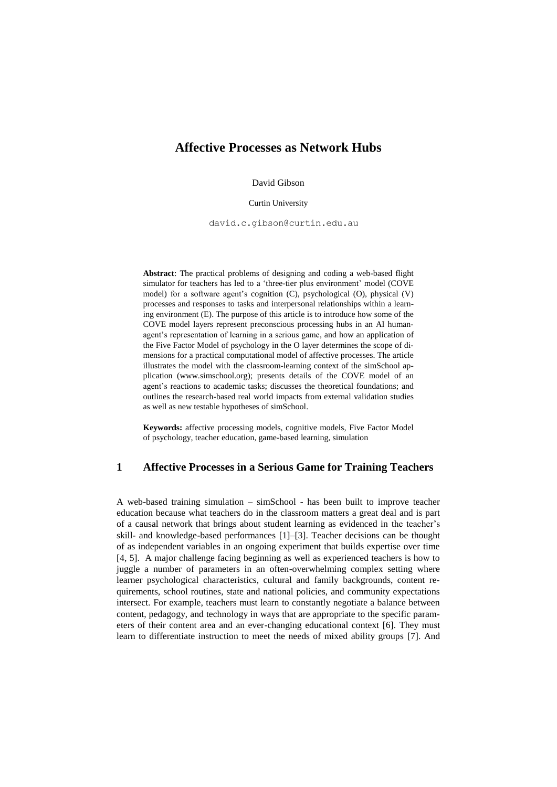# **Affective Processes as Network Hubs**

David Gibson

Curtin University

david.c.gibson@curtin.edu.au

**Abstract**: The practical problems of designing and coding a web-based flight simulator for teachers has led to a 'three-tier plus environment' model (COVE model) for a software agent's cognition (C), psychological (O), physical (V) processes and responses to tasks and interpersonal relationships within a learning environment (E). The purpose of this article is to introduce how some of the COVE model layers represent preconscious processing hubs in an AI humanagent's representation of learning in a serious game, and how an application of the Five Factor Model of psychology in the O layer determines the scope of dimensions for a practical computational model of affective processes. The article illustrates the model with the classroom-learning context of the simSchool application [\(www.simschool.org\)](http://www.simschool.org/); presents details of the COVE model of an agent's reactions to academic tasks; discusses the theoretical foundations; and outlines the research-based real world impacts from external validation studies as well as new testable hypotheses of simSchool.

**Keywords:** affective processing models, cognitive models, Five Factor Model of psychology, teacher education, game-based learning, simulation

### **1 Affective Processes in a Serious Game for Training Teachers**

A web-based training simulation – simSchool - has been built to improve teacher education because what teachers do in the classroom matters a great deal and is part of a causal network that brings about student learning as evidenced in the teacher's skill- and knowledge-based performances [1]–[3]. Teacher decisions can be thought of as independent variables in an ongoing experiment that builds expertise over time [4, 5]. A major challenge facing beginning as well as experienced teachers is how to juggle a number of parameters in an often-overwhelming complex setting where learner psychological characteristics, cultural and family backgrounds, content requirements, school routines, state and national policies, and community expectations intersect. For example, teachers must learn to constantly negotiate a balance between content, pedagogy, and technology in ways that are appropriate to the specific parameters of their content area and an ever-changing educational context [6]. They must learn to differentiate instruction to meet the needs of mixed ability groups [7]. And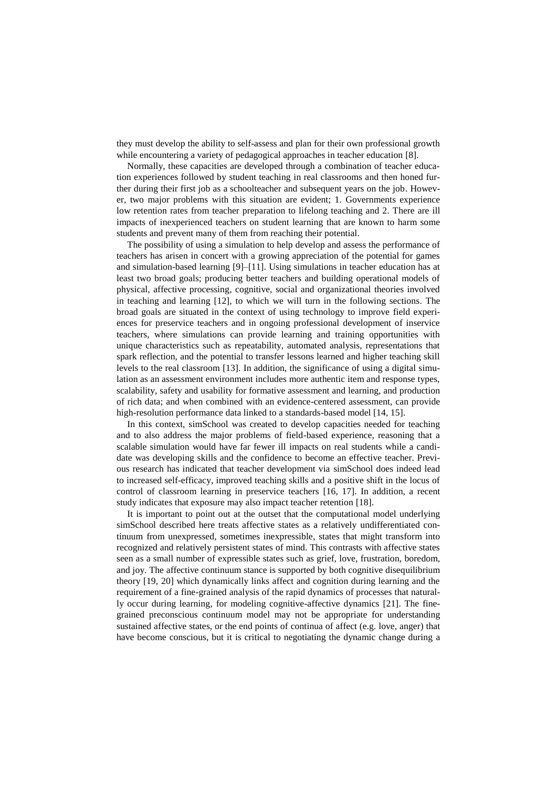they must develop the ability to self-assess and plan for their own professional growth while encountering a variety of pedagogical approaches in teacher education [8].

Normally, these capacities are developed through a combination of teacher education experiences followed by student teaching in real classrooms and then honed further during their first job as a schoolteacher and subsequent years on the job. However, two major problems with this situation are evident; 1. Governments experience low retention rates from teacher preparation to lifelong teaching and 2. There are ill impacts of inexperienced teachers on student learning that are known to harm some students and prevent many of them from reaching their potential.

The possibility of using a simulation to help develop and assess the performance of teachers has arisen in concert with a growing appreciation of the potential for games and simulation-based learning [9]–[11]. Using simulations in teacher education has at least two broad goals; producing better teachers and building operational models of physical, affective processing, cognitive, social and organizational theories involved in teaching and learning [12], to which we will turn in the following sections. The broad goals are situated in the context of using technology to improve field experiences for preservice teachers and in ongoing professional development of inservice teachers, where simulations can provide learning and training opportunities with unique characteristics such as repeatability, automated analysis, representations that spark reflection, and the potential to transfer lessons learned and higher teaching skill levels to the real classroom [13]. In addition, the significance of using a digital simulation as an assessment environment includes more authentic item and response types, scalability, safety and usability for formative assessment and learning, and production of rich data; and when combined with an evidence-centered assessment, can provide high-resolution performance data linked to a standards-based model [14, 15].

In this context, simSchool was created to develop capacities needed for teaching and to also address the major problems of field-based experience, reasoning that a scalable simulation would have far fewer ill impacts on real students while a candidate was developing skills and the confidence to become an effective teacher. Previous research has indicated that teacher development via simSchool does indeed lead to increased self-efficacy, improved teaching skills and a positive shift in the locus of control of classroom learning in preservice teachers [16, 17]. In addition, a recent study indicates that exposure may also impact teacher retention [18].

It is important to point out at the outset that the computational model underlying simSchool described here treats affective states as a relatively undifferentiated continuum from unexpressed, sometimes inexpressible, states that might transform into recognized and relatively persistent states of mind. This contrasts with affective states seen as a small number of expressible states such as grief, love, frustration, boredom, and joy. The affective continuum stance is supported by both cognitive disequilibrium theory [19, 20] which dynamically links affect and cognition during learning and the requirement of a fine-grained analysis of the rapid dynamics of processes that naturally occur during learning, for modeling cognitive-affective dynamics [21]. The finegrained preconscious continuum model may not be appropriate for understanding sustained affective states, or the end points of continua of affect (e.g. love, anger) that have become conscious, but it is critical to negotiating the dynamic change during a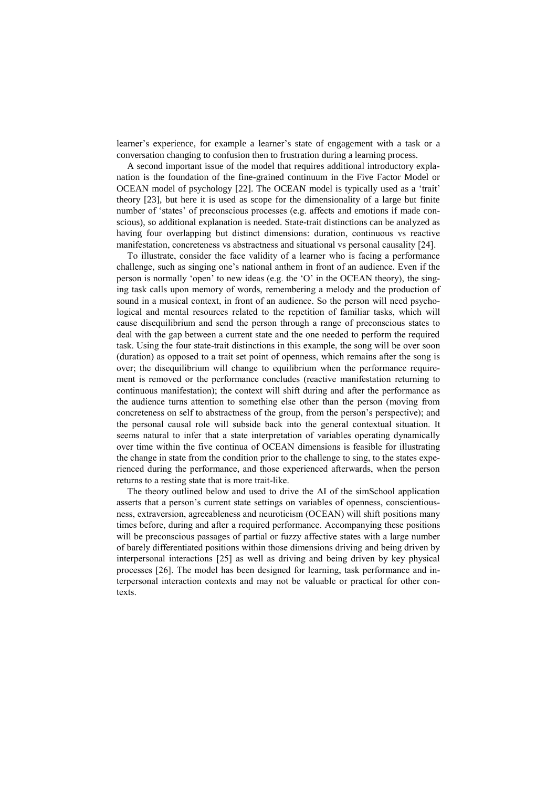learner's experience, for example a learner's state of engagement with a task or a conversation changing to confusion then to frustration during a learning process.

A second important issue of the model that requires additional introductory explanation is the foundation of the fine-grained continuum in the Five Factor Model or OCEAN model of psychology [22]. The OCEAN model is typically used as a 'trait' theory [23], but here it is used as scope for the dimensionality of a large but finite number of 'states' of preconscious processes (e.g. affects and emotions if made conscious), so additional explanation is needed. State-trait distinctions can be analyzed as having four overlapping but distinct dimensions: duration, continuous vs reactive manifestation, concreteness vs abstractness and situational vs personal causality [24].

To illustrate, consider the face validity of a learner who is facing a performance challenge, such as singing one's national anthem in front of an audience. Even if the person is normally 'open' to new ideas (e.g. the 'O' in the OCEAN theory), the singing task calls upon memory of words, remembering a melody and the production of sound in a musical context, in front of an audience. So the person will need psychological and mental resources related to the repetition of familiar tasks, which will cause disequilibrium and send the person through a range of preconscious states to deal with the gap between a current state and the one needed to perform the required task. Using the four state-trait distinctions in this example, the song will be over soon (duration) as opposed to a trait set point of openness, which remains after the song is over; the disequilibrium will change to equilibrium when the performance requirement is removed or the performance concludes (reactive manifestation returning to continuous manifestation); the context will shift during and after the performance as the audience turns attention to something else other than the person (moving from concreteness on self to abstractness of the group, from the person's perspective); and the personal causal role will subside back into the general contextual situation. It seems natural to infer that a state interpretation of variables operating dynamically over time within the five continua of OCEAN dimensions is feasible for illustrating the change in state from the condition prior to the challenge to sing, to the states experienced during the performance, and those experienced afterwards, when the person returns to a resting state that is more trait-like.

The theory outlined below and used to drive the AI of the simSchool application asserts that a person's current state settings on variables of openness, conscientiousness, extraversion, agreeableness and neuroticism (OCEAN) will shift positions many times before, during and after a required performance. Accompanying these positions will be preconscious passages of partial or fuzzy affective states with a large number of barely differentiated positions within those dimensions driving and being driven by interpersonal interactions [25] as well as driving and being driven by key physical processes [26]. The model has been designed for learning, task performance and interpersonal interaction contexts and may not be valuable or practical for other contexts.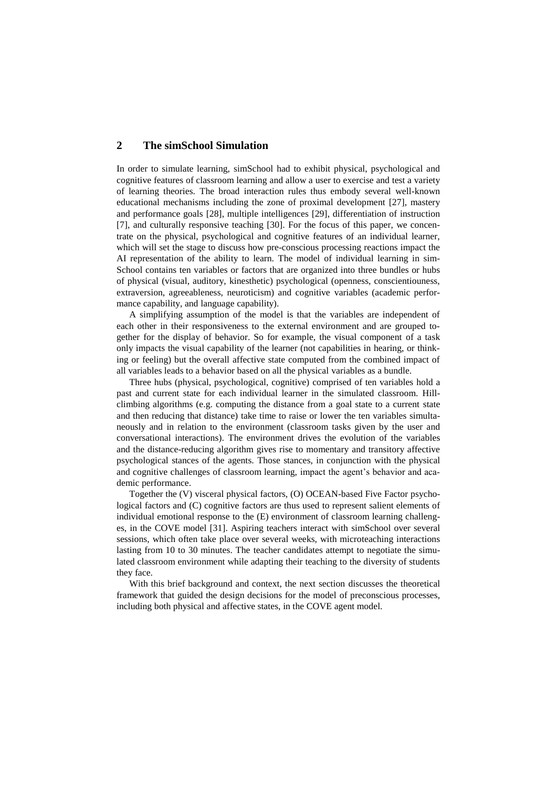## **2 The simSchool Simulation**

In order to simulate learning, simSchool had to exhibit physical, psychological and cognitive features of classroom learning and allow a user to exercise and test a variety of learning theories. The broad interaction rules thus embody several well-known educational mechanisms including the zone of proximal development [27], mastery and performance goals [28], multiple intelligences [29], differentiation of instruction [7], and culturally responsive teaching [30]. For the focus of this paper, we concentrate on the physical, psychological and cognitive features of an individual learner, which will set the stage to discuss how pre-conscious processing reactions impact the AI representation of the ability to learn. The model of individual learning in sim-School contains ten variables or factors that are organized into three bundles or hubs of physical (visual, auditory, kinesthetic) psychological (openness, conscientiouness, extraversion, agreeableness, neuroticism) and cognitive variables (academic performance capability, and language capability).

A simplifying assumption of the model is that the variables are independent of each other in their responsiveness to the external environment and are grouped together for the display of behavior. So for example, the visual component of a task only impacts the visual capability of the learner (not capabilities in hearing, or thinking or feeling) but the overall affective state computed from the combined impact of all variables leads to a behavior based on all the physical variables as a bundle.

Three hubs (physical, psychological, cognitive) comprised of ten variables hold a past and current state for each individual learner in the simulated classroom. Hillclimbing algorithms (e.g. computing the distance from a goal state to a current state and then reducing that distance) take time to raise or lower the ten variables simultaneously and in relation to the environment (classroom tasks given by the user and conversational interactions). The environment drives the evolution of the variables and the distance-reducing algorithm gives rise to momentary and transitory affective psychological stances of the agents. Those stances, in conjunction with the physical and cognitive challenges of classroom learning, impact the agent's behavior and academic performance.

Together the (V) visceral physical factors, (O) OCEAN-based Five Factor psychological factors and (C) cognitive factors are thus used to represent salient elements of individual emotional response to the (E) environment of classroom learning challenges, in the COVE model [31]. Aspiring teachers interact with simSchool over several sessions, which often take place over several weeks, with microteaching interactions lasting from 10 to 30 minutes. The teacher candidates attempt to negotiate the simulated classroom environment while adapting their teaching to the diversity of students they face.

With this brief background and context, the next section discusses the theoretical framework that guided the design decisions for the model of preconscious processes, including both physical and affective states, in the COVE agent model.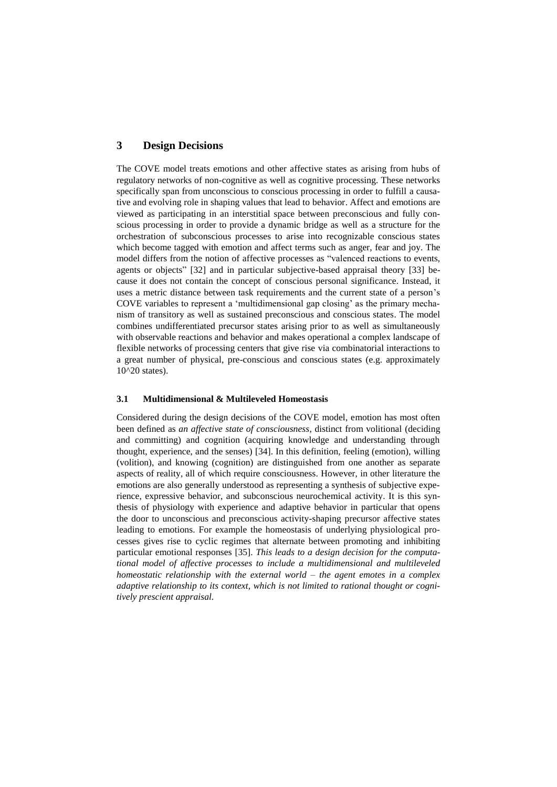# **3 Design Decisions**

The COVE model treats emotions and other affective states as arising from hubs of regulatory networks of non-cognitive as well as cognitive processing. These networks specifically span from unconscious to conscious processing in order to fulfill a causative and evolving role in shaping values that lead to behavior. Affect and emotions are viewed as participating in an interstitial space between preconscious and fully conscious processing in order to provide a dynamic bridge as well as a structure for the orchestration of subconscious processes to arise into recognizable conscious states which become tagged with emotion and affect terms such as anger, fear and joy. The model differs from the notion of affective processes as "valenced reactions to events, agents or objects" [32] and in particular subjective-based appraisal theory [33] because it does not contain the concept of conscious personal significance. Instead, it uses a metric distance between task requirements and the current state of a person's COVE variables to represent a 'multidimensional gap closing' as the primary mechanism of transitory as well as sustained preconscious and conscious states. The model combines undifferentiated precursor states arising prior to as well as simultaneously with observable reactions and behavior and makes operational a complex landscape of flexible networks of processing centers that give rise via combinatorial interactions to a great number of physical, pre-conscious and conscious states (e.g. approximately 10^20 states).

#### **3.1 Multidimensional & Multileveled Homeostasis**

Considered during the design decisions of the COVE model, emotion has most often been defined as *an affective state of consciousness*, distinct from volitional (deciding and committing) and cognition (acquiring knowledge and understanding through thought, experience, and the senses) [34]. In this definition, feeling (emotion), willing (volition), and knowing (cognition) are distinguished from one another as separate aspects of reality, all of which require consciousness. However, in other literature the emotions are also generally understood as representing a synthesis of subjective experience, expressive behavior, and subconscious neurochemical activity. It is this synthesis of physiology with experience and adaptive behavior in particular that opens the door to unconscious and preconscious activity-shaping precursor affective states leading to emotions. For example the homeostasis of underlying physiological processes gives rise to cyclic regimes that alternate between promoting and inhibiting particular emotional responses [35]. *This leads to a design decision for the computational model of affective processes to include a multidimensional and multileveled homeostatic relationship with the external world – the agent emotes in a complex adaptive relationship to its context, which is not limited to rational thought or cognitively prescient appraisal.*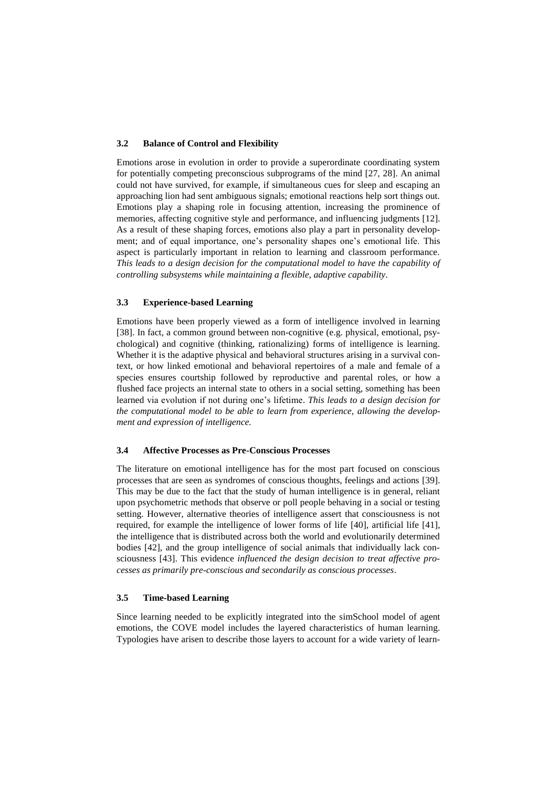#### **3.2 Balance of Control and Flexibility**

Emotions arose in evolution in order to provide a superordinate coordinating system for potentially competing preconscious subprograms of the mind [27, 28]. An animal could not have survived, for example, if simultaneous cues for sleep and escaping an approaching lion had sent ambiguous signals; emotional reactions help sort things out. Emotions play a shaping role in focusing attention, increasing the prominence of memories, affecting cognitive style and performance, and influencing judgments [12]. As a result of these shaping forces, emotions also play a part in personality development; and of equal importance, one's personality shapes one's emotional life. This aspect is particularly important in relation to learning and classroom performance. *This leads to a design decision for the computational model to have the capability of controlling subsystems while maintaining a flexible, adaptive capability.*

### **3.3 Experience-based Learning**

Emotions have been properly viewed as a form of intelligence involved in learning [38]. In fact, a common ground between non-cognitive (e.g. physical, emotional, psychological) and cognitive (thinking, rationalizing) forms of intelligence is learning. Whether it is the adaptive physical and behavioral structures arising in a survival context, or how linked emotional and behavioral repertoires of a male and female of a species ensures courtship followed by reproductive and parental roles, or how a flushed face projects an internal state to others in a social setting, something has been learned via evolution if not during one's lifetime. *This leads to a design decision for the computational model to be able to learn from experience, allowing the development and expression of intelligence.* 

#### **3.4 Affective Processes as Pre-Conscious Processes**

The literature on emotional intelligence has for the most part focused on conscious processes that are seen as syndromes of conscious thoughts, feelings and actions [39]. This may be due to the fact that the study of human intelligence is in general, reliant upon psychometric methods that observe or poll people behaving in a social or testing setting. However, alternative theories of intelligence assert that consciousness is not required, for example the intelligence of lower forms of life [40], artificial life [41], the intelligence that is distributed across both the world and evolutionarily determined bodies [42], and the group intelligence of social animals that individually lack consciousness [43]. This evidence *influenced the design decision to treat affective processes as primarily pre-conscious and secondarily as conscious processes*.

### **3.5 Time-based Learning**

Since learning needed to be explicitly integrated into the simSchool model of agent emotions, the COVE model includes the layered characteristics of human learning. Typologies have arisen to describe those layers to account for a wide variety of learn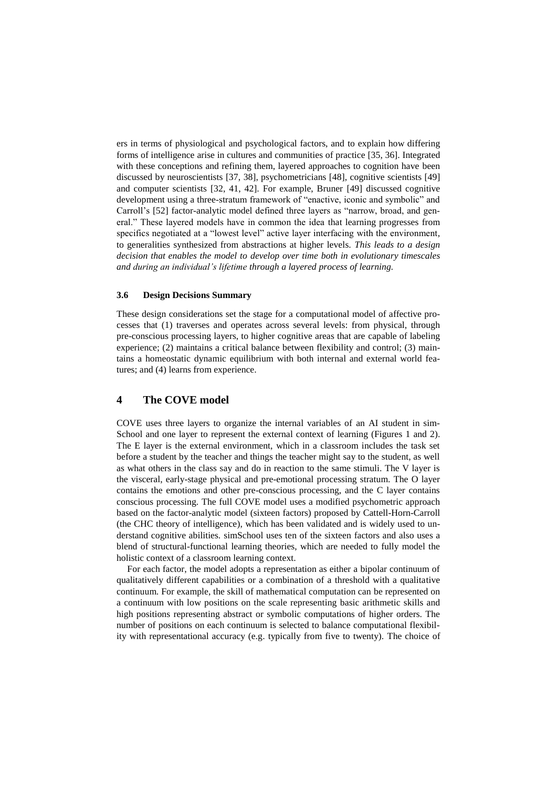ers in terms of physiological and psychological factors, and to explain how differing forms of intelligence arise in cultures and communities of practice [35, 36]. Integrated with these conceptions and refining them, layered approaches to cognition have been discussed by neuroscientists [37, 38], psychometricians [48], cognitive scientists [49] and computer scientists [32, 41, 42]. For example, Bruner [49] discussed cognitive development using a three-stratum framework of "enactive, iconic and symbolic" and Carroll's [52] factor-analytic model defined three layers as "narrow, broad, and general." These layered models have in common the idea that learning progresses from specifics negotiated at a "lowest level" active layer interfacing with the environment, to generalities synthesized from abstractions at higher levels. *This leads to a design decision that enables the model to develop over time both in evolutionary timescales and during an individual's lifetime through a layered process of learning.*

#### **3.6 Design Decisions Summary**

These design considerations set the stage for a computational model of affective processes that (1) traverses and operates across several levels: from physical, through pre-conscious processing layers, to higher cognitive areas that are capable of labeling experience; (2) maintains a critical balance between flexibility and control; (3) maintains a homeostatic dynamic equilibrium with both internal and external world features; and (4) learns from experience.

### **4 The COVE model**

COVE uses three layers to organize the internal variables of an AI student in sim-School and one layer to represent the external context of learning (Figures 1 and 2). The E layer is the external environment, which in a classroom includes the task set before a student by the teacher and things the teacher might say to the student, as well as what others in the class say and do in reaction to the same stimuli. The V layer is the visceral, early-stage physical and pre-emotional processing stratum. The O layer contains the emotions and other pre-conscious processing, and the C layer contains conscious processing. The full COVE model uses a modified psychometric approach based on the factor-analytic model (sixteen factors) proposed by Cattell-Horn-Carroll (the CHC theory of intelligence), which has been validated and is widely used to understand cognitive abilities. simSchool uses ten of the sixteen factors and also uses a blend of structural-functional learning theories, which are needed to fully model the holistic context of a classroom learning context.

For each factor, the model adopts a representation as either a bipolar continuum of qualitatively different capabilities or a combination of a threshold with a qualitative continuum. For example, the skill of mathematical computation can be represented on a continuum with low positions on the scale representing basic arithmetic skills and high positions representing abstract or symbolic computations of higher orders. The number of positions on each continuum is selected to balance computational flexibility with representational accuracy (e.g. typically from five to twenty). The choice of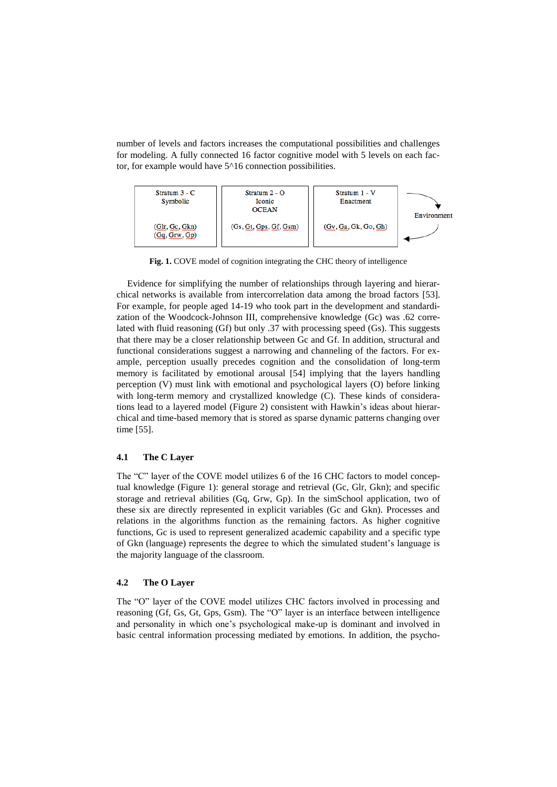number of levels and factors increases the computational possibilities and challenges for modeling. A fully connected 16 factor cognitive model with 5 levels on each factor, for example would have 5^16 connection possibilities.



**Fig. 1.** COVE model of cognition integrating the CHC theory of intelligence

Evidence for simplifying the number of relationships through layering and hierarchical networks is available from intercorrelation data among the broad factors [53]. For example, for people aged 14-19 who took part in the development and standardization of the Woodcock-Johnson III, comprehensive knowledge (Gc) was .62 correlated with fluid reasoning (Gf) but only .37 with processing speed (Gs). This suggests that there may be a closer relationship between Gc and Gf. In addition, structural and functional considerations suggest a narrowing and channeling of the factors. For example, perception usually precedes cognition and the consolidation of long-term memory is facilitated by emotional arousal [54] implying that the layers handling perception (V) must link with emotional and psychological layers (O) before linking with long-term memory and crystallized knowledge (C). These kinds of considerations lead to a layered model (Figure 2) consistent with Hawkin's ideas about hierarchical and time-based memory that is stored as sparse dynamic patterns changing over time [55].

#### **4.1 The C Layer**

The "C" layer of the COVE model utilizes 6 of the 16 CHC factors to model conceptual knowledge (Figure 1): general storage and retrieval (Gc, Glr, Gkn); and specific storage and retrieval abilities (Gq, Grw, Gp). In the simSchool application, two of these six are directly represented in explicit variables (Gc and Gkn). Processes and relations in the algorithms function as the remaining factors. As higher cognitive functions, Gc is used to represent generalized academic capability and a specific type of Gkn (language) represents the degree to which the simulated student's language is the majority language of the classroom.

#### **4.2 The O Layer**

The "O" layer of the COVE model utilizes CHC factors involved in processing and reasoning (Gf, Gs, Gt, Gps, Gsm). The "O" layer is an interface between intelligence and personality in which one's psychological make-up is dominant and involved in basic central information processing mediated by emotions. In addition, the psycho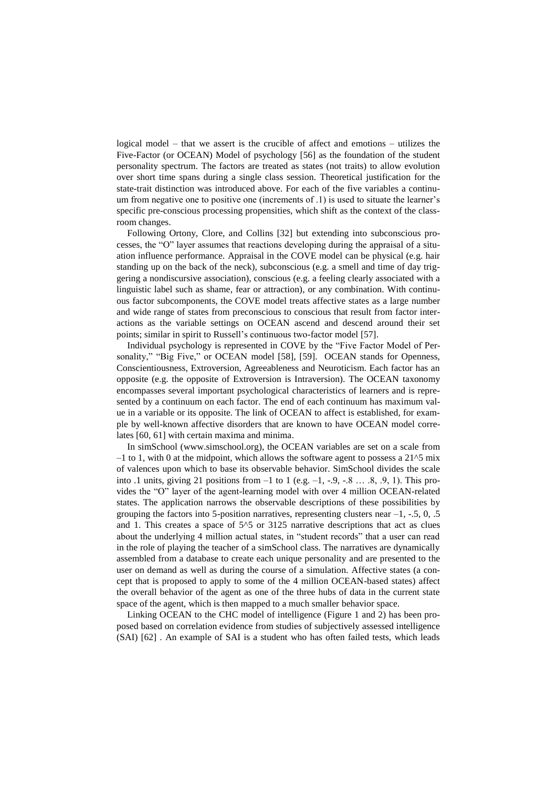logical model – that we assert is the crucible of affect and emotions – utilizes the Five-Factor (or OCEAN) Model of psychology [56] as the foundation of the student personality spectrum. The factors are treated as states (not traits) to allow evolution over short time spans during a single class session. Theoretical justification for the state-trait distinction was introduced above. For each of the five variables a continuum from negative one to positive one (increments of .1) is used to situate the learner's specific pre-conscious processing propensities, which shift as the context of the classroom changes.

Following Ortony, Clore, and Collins [32] but extending into subconscious processes, the "O" layer assumes that reactions developing during the appraisal of a situation influence performance. Appraisal in the COVE model can be physical (e.g. hair standing up on the back of the neck), subconscious (e.g. a smell and time of day triggering a nondiscursive association), conscious (e.g. a feeling clearly associated with a linguistic label such as shame, fear or attraction), or any combination. With continuous factor subcomponents, the COVE model treats affective states as a large number and wide range of states from preconscious to conscious that result from factor interactions as the variable settings on OCEAN ascend and descend around their set points; similar in spirit to Russell's continuous two-factor model [57].

Individual psychology is represented in COVE by the "Five Factor Model of Personality," "Big Five," or OCEAN model [58], [59]. OCEAN stands for Openness, Conscientiousness, Extroversion, Agreeableness and Neuroticism. Each factor has an opposite (e.g. the opposite of Extroversion is Intraversion). The OCEAN taxonomy encompasses several important psychological characteristics of learners and is represented by a continuum on each factor. The end of each continuum has maximum value in a variable or its opposite. The link of OCEAN to affect is established, for example by well-known affective disorders that are known to have OCEAN model correlates [60, 61] with certain maxima and minima.

In simSchool [\(www.simschool.org\)](http://www.simschool.org/), the OCEAN variables are set on a scale from  $-1$  to 1, with 0 at the midpoint, which allows the software agent to possess a 21^5 mix of valences upon which to base its observable behavior. SimSchool divides the scale into .1 units, giving 21 positions from  $-1$  to 1 (e.g.  $-1$ ,  $-9$ ,  $-8$  ...  $8$ ,  $9$ , 1). This provides the "O" layer of the agent-learning model with over 4 million OCEAN-related states. The application narrows the observable descriptions of these possibilities by grouping the factors into 5-position narratives, representing clusters near –1, -.5, 0, .5 and 1. This creates a space of 5^5 or 3125 narrative descriptions that act as clues about the underlying 4 million actual states, in "student records" that a user can read in the role of playing the teacher of a simSchool class. The narratives are dynamically assembled from a database to create each unique personality and are presented to the user on demand as well as during the course of a simulation. Affective states (a concept that is proposed to apply to some of the 4 million OCEAN-based states) affect the overall behavior of the agent as one of the three hubs of data in the current state space of the agent, which is then mapped to a much smaller behavior space.

Linking OCEAN to the CHC model of intelligence (Figure 1 and 2) has been proposed based on correlation evidence from studies of subjectively assessed intelligence (SAI) [62] . An example of SAI is a student who has often failed tests, which leads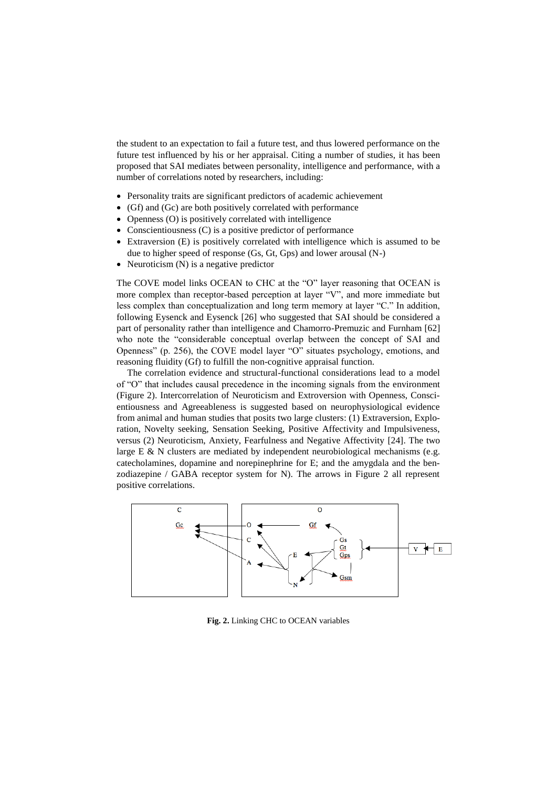the student to an expectation to fail a future test, and thus lowered performance on the future test influenced by his or her appraisal. Citing a number of studies, it has been proposed that SAI mediates between personality, intelligence and performance, with a number of correlations noted by researchers, including:

- Personality traits are significant predictors of academic achievement
- (Gf) and (Gc) are both positively correlated with performance
- Openness (O) is positively correlated with intelligence
- Conscientiousness  $(C)$  is a positive predictor of performance
- Extraversion (E) is positively correlated with intelligence which is assumed to be due to higher speed of response (Gs, Gt, Gps) and lower arousal (N-)
- Neuroticism  $(N)$  is a negative predictor

The COVE model links OCEAN to CHC at the "O" layer reasoning that OCEAN is more complex than receptor-based perception at layer "V", and more immediate but less complex than conceptualization and long term memory at layer "C." In addition, following Eysenck and Eysenck [26] who suggested that SAI should be considered a part of personality rather than intelligence and Chamorro-Premuzic and Furnham [62] who note the "considerable conceptual overlap between the concept of SAI and Openness" (p. 256), the COVE model layer "O" situates psychology, emotions, and reasoning fluidity (Gf) to fulfill the non-cognitive appraisal function.

The correlation evidence and structural-functional considerations lead to a model of "O" that includes causal precedence in the incoming signals from the environment (Figure 2). Intercorrelation of Neuroticism and Extroversion with Openness, Conscientiousness and Agreeableness is suggested based on neurophysiological evidence from animal and human studies that posits two large clusters: (1) Extraversion, Exploration, Novelty seeking, Sensation Seeking, Positive Affectivity and Impulsiveness, versus (2) Neuroticism, Anxiety, Fearfulness and Negative Affectivity [24]. The two large E & N clusters are mediated by independent neurobiological mechanisms (e.g. catecholamines, dopamine and norepinephrine for E; and the amygdala and the benzodiazepine / GABA receptor system for N). The arrows in Figure 2 all represent positive correlations.



**Fig. 2.** Linking CHC to OCEAN variables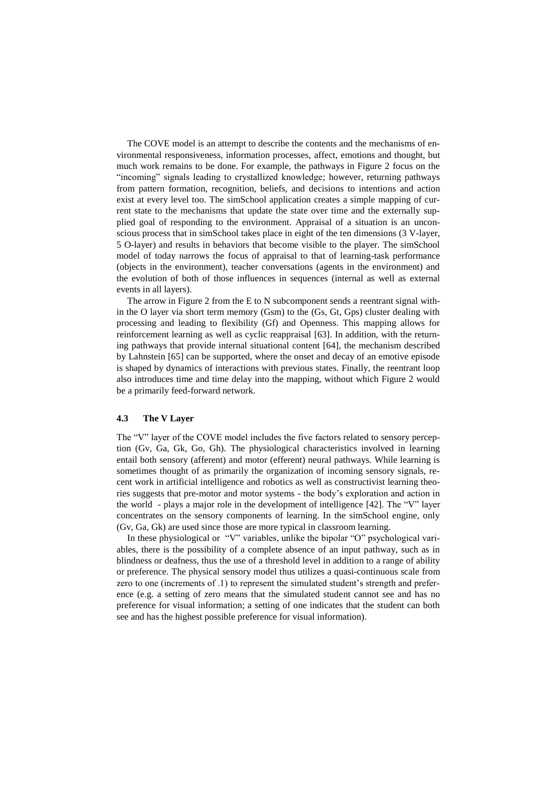The COVE model is an attempt to describe the contents and the mechanisms of environmental responsiveness, information processes, affect, emotions and thought, but much work remains to be done. For example, the pathways in Figure 2 focus on the "incoming" signals leading to crystallized knowledge; however, returning pathways from pattern formation, recognition, beliefs, and decisions to intentions and action exist at every level too. The simSchool application creates a simple mapping of current state to the mechanisms that update the state over time and the externally supplied goal of responding to the environment. Appraisal of a situation is an unconscious process that in simSchool takes place in eight of the ten dimensions (3 V-layer, 5 O-layer) and results in behaviors that become visible to the player. The simSchool model of today narrows the focus of appraisal to that of learning-task performance (objects in the environment), teacher conversations (agents in the environment) and the evolution of both of those influences in sequences (internal as well as external events in all layers).

The arrow in Figure 2 from the E to N subcomponent sends a reentrant signal within the O layer via short term memory (Gsm) to the (Gs, Gt, Gps) cluster dealing with processing and leading to flexibility (Gf) and Openness. This mapping allows for reinforcement learning as well as cyclic reappraisal [63]. In addition, with the returning pathways that provide internal situational content [64], the mechanism described by Lahnstein [65] can be supported, where the onset and decay of an emotive episode is shaped by dynamics of interactions with previous states. Finally, the reentrant loop also introduces time and time delay into the mapping, without which Figure 2 would be a primarily feed-forward network.

#### **4.3 The V Layer**

The "V" layer of the COVE model includes the five factors related to sensory perception (Gv, Ga, Gk, Go, Gh). The physiological characteristics involved in learning entail both sensory (afferent) and motor (efferent) neural pathways. While learning is sometimes thought of as primarily the organization of incoming sensory signals, recent work in artificial intelligence and robotics as well as constructivist learning theories suggests that pre-motor and motor systems - the body's exploration and action in the world - plays a major role in the development of intelligence [42]. The "V" layer concentrates on the sensory components of learning. In the simSchool engine, only (Gv, Ga, Gk) are used since those are more typical in classroom learning.

In these physiological or "V" variables, unlike the bipolar "O" psychological variables, there is the possibility of a complete absence of an input pathway, such as in blindness or deafness, thus the use of a threshold level in addition to a range of ability or preference. The physical sensory model thus utilizes a quasi-continuous scale from zero to one (increments of .1) to represent the simulated student's strength and preference (e.g. a setting of zero means that the simulated student cannot see and has no preference for visual information; a setting of one indicates that the student can both see and has the highest possible preference for visual information).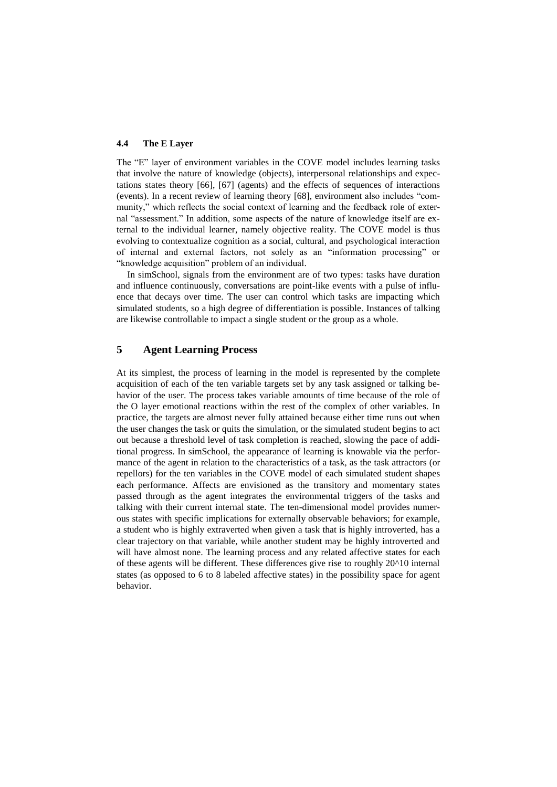#### **4.4 The E Layer**

The "E" layer of environment variables in the COVE model includes learning tasks that involve the nature of knowledge (objects), interpersonal relationships and expectations states theory [66], [67] (agents) and the effects of sequences of interactions (events). In a recent review of learning theory [68], environment also includes "community," which reflects the social context of learning and the feedback role of external "assessment." In addition, some aspects of the nature of knowledge itself are external to the individual learner, namely objective reality. The COVE model is thus evolving to contextualize cognition as a social, cultural, and psychological interaction of internal and external factors, not solely as an "information processing" or "knowledge acquisition" problem of an individual.

In simSchool, signals from the environment are of two types: tasks have duration and influence continuously, conversations are point-like events with a pulse of influence that decays over time. The user can control which tasks are impacting which simulated students, so a high degree of differentiation is possible. Instances of talking are likewise controllable to impact a single student or the group as a whole.

# **5 Agent Learning Process**

At its simplest, the process of learning in the model is represented by the complete acquisition of each of the ten variable targets set by any task assigned or talking behavior of the user. The process takes variable amounts of time because of the role of the O layer emotional reactions within the rest of the complex of other variables. In practice, the targets are almost never fully attained because either time runs out when the user changes the task or quits the simulation, or the simulated student begins to act out because a threshold level of task completion is reached, slowing the pace of additional progress. In simSchool, the appearance of learning is knowable via the performance of the agent in relation to the characteristics of a task, as the task attractors (or repellors) for the ten variables in the COVE model of each simulated student shapes each performance. Affects are envisioned as the transitory and momentary states passed through as the agent integrates the environmental triggers of the tasks and talking with their current internal state. The ten-dimensional model provides numerous states with specific implications for externally observable behaviors; for example, a student who is highly extraverted when given a task that is highly introverted, has a clear trajectory on that variable, while another student may be highly introverted and will have almost none. The learning process and any related affective states for each of these agents will be different. These differences give rise to roughly 20^10 internal states (as opposed to 6 to 8 labeled affective states) in the possibility space for agent behavior.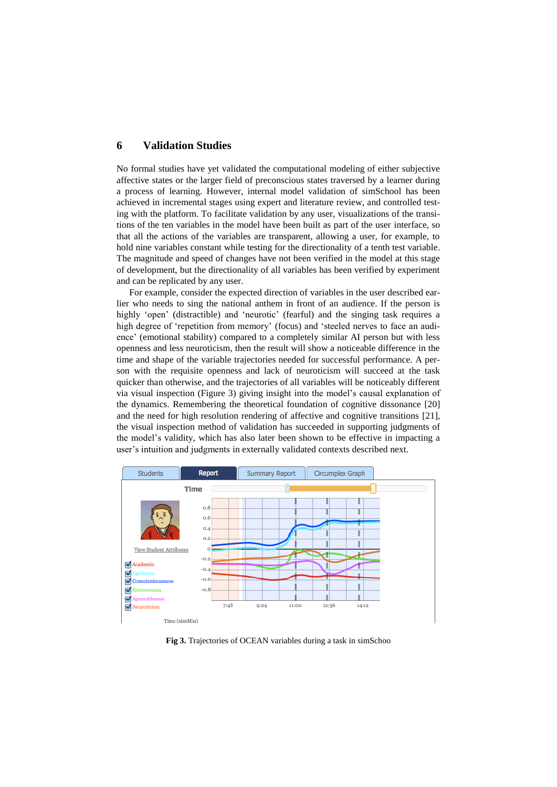## **6 Validation Studies**

No formal studies have yet validated the computational modeling of either subjective affective states or the larger field of preconscious states traversed by a learner during a process of learning. However, internal model validation of simSchool has been achieved in incremental stages using expert and literature review, and controlled testing with the platform. To facilitate validation by any user, visualizations of the transitions of the ten variables in the model have been built as part of the user interface, so that all the actions of the variables are transparent, allowing a user, for example, to hold nine variables constant while testing for the directionality of a tenth test variable. The magnitude and speed of changes have not been verified in the model at this stage of development, but the directionality of all variables has been verified by experiment and can be replicated by any user.

For example, consider the expected direction of variables in the user described earlier who needs to sing the national anthem in front of an audience. If the person is highly 'open' (distractible) and 'neurotic' (fearful) and the singing task requires a high degree of 'repetition from memory' (focus) and 'steeled nerves to face an audience' (emotional stability) compared to a completely similar AI person but with less openness and less neuroticism, then the result will show a noticeable difference in the time and shape of the variable trajectories needed for successful performance. A person with the requisite openness and lack of neuroticism will succeed at the task quicker than otherwise, and the trajectories of all variables will be noticeably different via visual inspection (Figure 3) giving insight into the model's causal explanation of the dynamics. Remembering the theoretical foundation of cognitive dissonance [20] and the need for high resolution rendering of affective and cognitive transitions [21], the visual inspection method of validation has succeeded in supporting judgments of the model's validity, which has also later been shown to be effective in impacting a user's intuition and judgments in externally validated contexts described next.



**Fig 3.** Trajectories of OCEAN variables during a task in simSchoo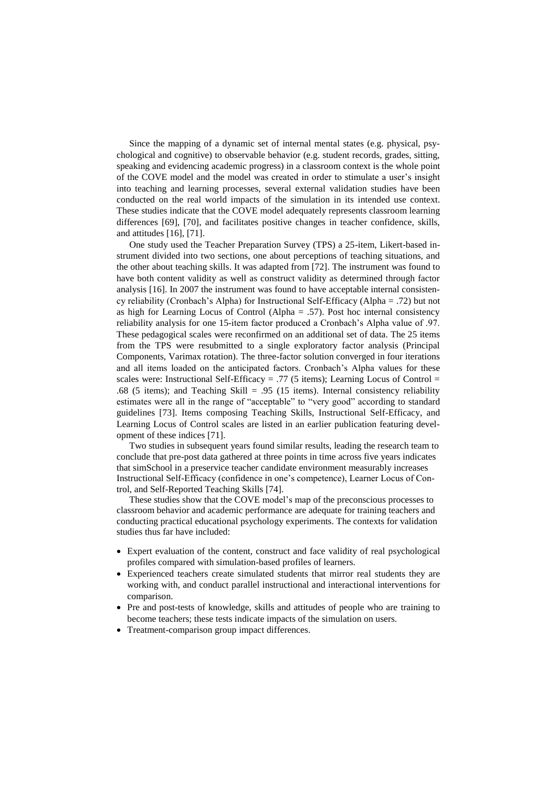Since the mapping of a dynamic set of internal mental states (e.g. physical, psychological and cognitive) to observable behavior (e.g. student records, grades, sitting, speaking and evidencing academic progress) in a classroom context is the whole point of the COVE model and the model was created in order to stimulate a user's insight into teaching and learning processes, several external validation studies have been conducted on the real world impacts of the simulation in its intended use context. These studies indicate that the COVE model adequately represents classroom learning differences [69], [70], and facilitates positive changes in teacher confidence, skills, and attitudes [16], [71].

One study used the Teacher Preparation Survey (TPS) a 25-item, Likert-based instrument divided into two sections, one about perceptions of teaching situations, and the other about teaching skills. It was adapted from [72]. The instrument was found to have both content validity as well as construct validity as determined through factor analysis [16]. In 2007 the instrument was found to have acceptable internal consistency reliability (Cronbach's Alpha) for Instructional Self-Efficacy (Alpha = .72) but not as high for Learning Locus of Control (Alpha = .57). Post hoc internal consistency reliability analysis for one 15-item factor produced a Cronbach's Alpha value of .97. These pedagogical scales were reconfirmed on an additional set of data. The 25 items from the TPS were resubmitted to a single exploratory factor analysis (Principal Components, Varimax rotation). The three-factor solution converged in four iterations and all items loaded on the anticipated factors. Cronbach's Alpha values for these scales were: Instructional Self-Efficacy = .77 (5 items); Learning Locus of Control = .68 (5 items); and Teaching Skill = .95 (15 items). Internal consistency reliability estimates were all in the range of "acceptable" to "very good" according to standard guidelines [73]. Items composing Teaching Skills, Instructional Self-Efficacy, and Learning Locus of Control scales are listed in an earlier publication featuring development of these indices [71].

Two studies in subsequent years found similar results, leading the research team to conclude that pre-post data gathered at three points in time across five years indicates that simSchool in a preservice teacher candidate environment measurably increases Instructional Self-Efficacy (confidence in one's competence), Learner Locus of Control, and Self-Reported Teaching Skills [74].

These studies show that the COVE model's map of the preconscious processes to classroom behavior and academic performance are adequate for training teachers and conducting practical educational psychology experiments. The contexts for validation studies thus far have included:

- Expert evaluation of the content, construct and face validity of real psychological profiles compared with simulation-based profiles of learners.
- Experienced teachers create simulated students that mirror real students they are working with, and conduct parallel instructional and interactional interventions for comparison.
- Pre and post-tests of knowledge, skills and attitudes of people who are training to become teachers; these tests indicate impacts of the simulation on users.
- Treatment-comparison group impact differences.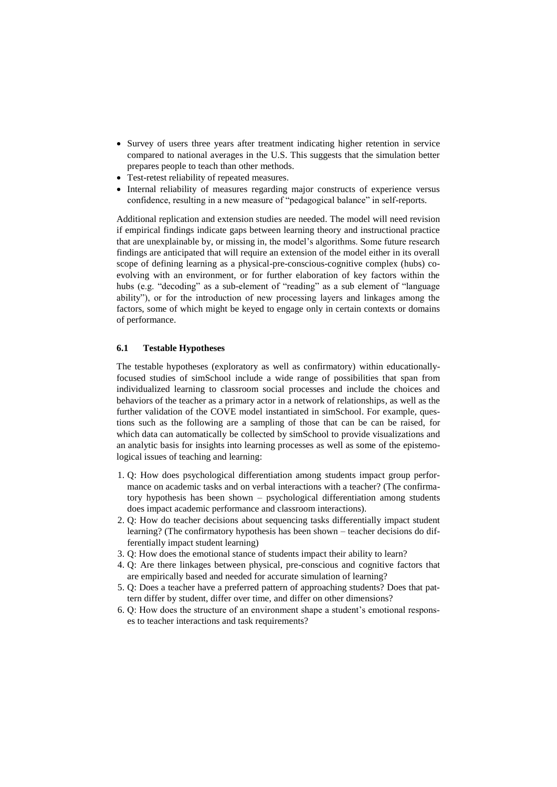- Survey of users three years after treatment indicating higher retention in service compared to national averages in the U.S. This suggests that the simulation better prepares people to teach than other methods.
- Test-retest reliability of repeated measures.
- Internal reliability of measures regarding major constructs of experience versus confidence, resulting in a new measure of "pedagogical balance" in self-reports.

Additional replication and extension studies are needed. The model will need revision if empirical findings indicate gaps between learning theory and instructional practice that are unexplainable by, or missing in, the model's algorithms. Some future research findings are anticipated that will require an extension of the model either in its overall scope of defining learning as a physical-pre-conscious-cognitive complex (hubs) coevolving with an environment, or for further elaboration of key factors within the hubs (e.g. "decoding" as a sub-element of "reading" as a sub element of "language ability"), or for the introduction of new processing layers and linkages among the factors, some of which might be keyed to engage only in certain contexts or domains of performance.

#### **6.1 Testable Hypotheses**

The testable hypotheses (exploratory as well as confirmatory) within educationallyfocused studies of simSchool include a wide range of possibilities that span from individualized learning to classroom social processes and include the choices and behaviors of the teacher as a primary actor in a network of relationships, as well as the further validation of the COVE model instantiated in simSchool. For example, questions such as the following are a sampling of those that can be can be raised, for which data can automatically be collected by simSchool to provide visualizations and an analytic basis for insights into learning processes as well as some of the epistemological issues of teaching and learning:

- 1. Q: How does psychological differentiation among students impact group performance on academic tasks and on verbal interactions with a teacher? (The confirmatory hypothesis has been shown – psychological differentiation among students does impact academic performance and classroom interactions).
- 2. Q: How do teacher decisions about sequencing tasks differentially impact student learning? (The confirmatory hypothesis has been shown – teacher decisions do differentially impact student learning)
- 3. Q: How does the emotional stance of students impact their ability to learn?
- 4. Q: Are there linkages between physical, pre-conscious and cognitive factors that are empirically based and needed for accurate simulation of learning?
- 5. Q: Does a teacher have a preferred pattern of approaching students? Does that pattern differ by student, differ over time, and differ on other dimensions?
- 6. Q: How does the structure of an environment shape a student's emotional responses to teacher interactions and task requirements?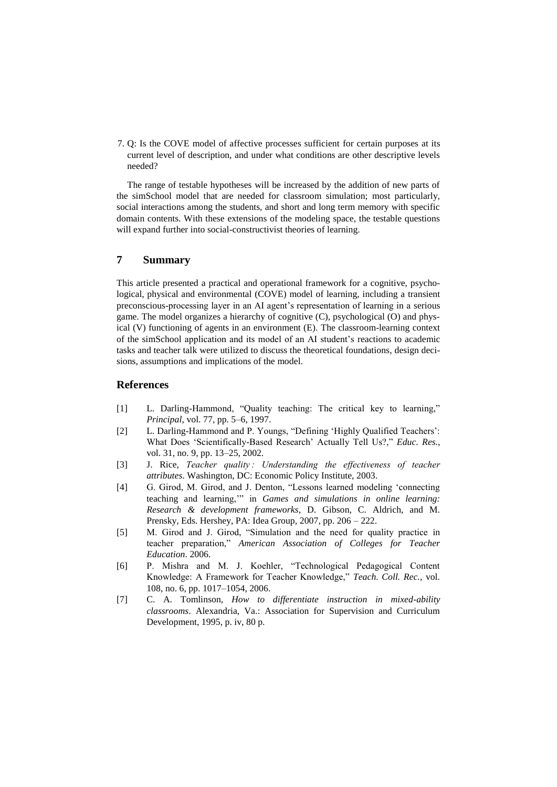7. Q: Is the COVE model of affective processes sufficient for certain purposes at its current level of description, and under what conditions are other descriptive levels needed?

The range of testable hypotheses will be increased by the addition of new parts of the simSchool model that are needed for classroom simulation; most particularly, social interactions among the students, and short and long term memory with specific domain contents. With these extensions of the modeling space, the testable questions will expand further into social-constructivist theories of learning.

## **7 Summary**

This article presented a practical and operational framework for a cognitive, psychological, physical and environmental (COVE) model of learning, including a transient preconscious-processing layer in an AI agent's representation of learning in a serious game. The model organizes a hierarchy of cognitive (C), psychological (O) and physical (V) functioning of agents in an environment (E). The classroom-learning context of the simSchool application and its model of an AI student's reactions to academic tasks and teacher talk were utilized to discuss the theoretical foundations, design decisions, assumptions and implications of the model.

### **References**

- [1] L. Darling-Hammond, "Quality teaching: The critical key to learning," *Principal*, vol. 77, pp. 5–6, 1997.
- [2] L. Darling-Hammond and P. Youngs, "Defining 'Highly Qualified Teachers': What Does 'Scientifically-Based Research' Actually Tell Us?," *Educ. Res.*, vol. 31, no. 9, pp. 13–25, 2002.
- [3] J. Rice, *Teacher quality* : Understanding the effectiveness of teacher *attributes*. Washington, DC: Economic Policy Institute, 2003.
- [4] G. Girod, M. Girod, and J. Denton, "Lessons learned modeling 'connecting teaching and learning,'" in *Games and simulations in online learning: Research & development frameworks*, D. Gibson, C. Aldrich, and M. Prensky, Eds. Hershey, PA: Idea Group, 2007, pp. 206 – 222.
- [5] M. Girod and J. Girod, "Simulation and the need for quality practice in teacher preparation," *American Association of Colleges for Teacher Education*. 2006.
- [6] P. Mishra and M. J. Koehler, "Technological Pedagogical Content Knowledge: A Framework for Teacher Knowledge," *Teach. Coll. Rec.*, vol. 108, no. 6, pp. 1017–1054, 2006.
- [7] C. A. Tomlinson, *How to differentiate instruction in mixed-ability classrooms*. Alexandria, Va.: Association for Supervision and Curriculum Development, 1995, p. iv, 80 p.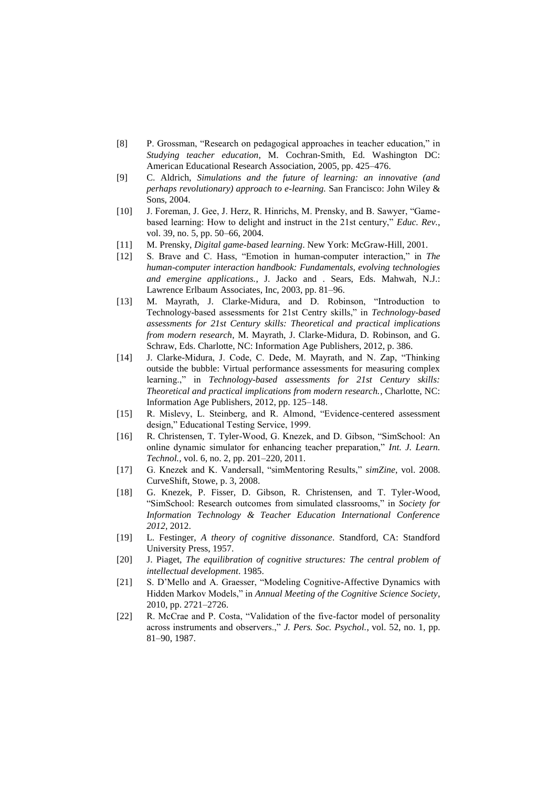- [8] P. Grossman, "Research on pedagogical approaches in teacher education," in *Studying teacher education*, M. Cochran-Smith, Ed. Washington DC: American Educational Research Association, 2005, pp. 425–476.
- [9] C. Aldrich, *Simulations and the future of learning: an innovative (and perhaps revolutionary) approach to e-learning.* San Francisco: John Wiley & Sons, 2004.
- [10] J. Foreman, J. Gee, J. Herz, R. Hinrichs, M. Prensky, and B. Sawyer, "Gamebased learning: How to delight and instruct in the 21st century," *Educ. Rev.*, vol. 39, no. 5, pp. 50–66, 2004.
- [11] M. Prensky, *Digital game-based learning*. New York: McGraw-Hill, 2001.
- [12] S. Brave and C. Hass, "Emotion in human-computer interaction," in *The human-computer interaction handbook: Fundamentals, evolving technologies and emergine applications.*, J. Jacko and . Sears, Eds. Mahwah, N.J.: Lawrence Erlbaum Associates, Inc, 2003, pp. 81–96.
- [13] M. Mayrath, J. Clarke-Midura, and D. Robinson, "Introduction to Technology-based assessments for 21st Centry skills," in *Technology-based assessments for 21st Century skills: Theoretical and practical implications from modern research*, M. Mayrath, J. Clarke-Midura, D. Robinson, and G. Schraw, Eds. Charlotte, NC: Information Age Publishers, 2012, p. 386.
- [14] J. Clarke-Midura, J. Code, C. Dede, M. Mayrath, and N. Zap, "Thinking outside the bubble: Virtual performance assessments for measuring complex learning.," in *Technology-based assessments for 21st Century skills: Theoretical and practical implications from modern research.*, Charlotte, NC: Information Age Publishers, 2012, pp. 125–148.
- [15] R. Mislevy, L. Steinberg, and R. Almond, "Evidence-centered assessment design," Educational Testing Service, 1999.
- [16] R. Christensen, T. Tyler-Wood, G. Knezek, and D. Gibson, "SimSchool: An online dynamic simulator for enhancing teacher preparation," *Int. J. Learn. Technol.*, vol. 6, no. 2, pp. 201–220, 2011.
- [17] G. Knezek and K. Vandersall, "simMentoring Results," *simZine*, vol. 2008. CurveShift, Stowe, p. 3, 2008.
- [18] G. Knezek, P. Fisser, D. Gibson, R. Christensen, and T. Tyler-Wood, "SimSchool: Research outcomes from simulated classrooms," in *Society for Information Technology & Teacher Education International Conference 2012*, 2012.
- [19] L. Festinger, *A theory of cognitive dissonance*. Standford, CA: Standford University Press, 1957.
- [20] J. Piaget, *The equilibration of cognitive structures: The central problem of intellectual development*. 1985.
- [21] S. D'Mello and A. Graesser, "Modeling Cognitive-Affective Dynamics with Hidden Markov Models," in *Annual Meeting of the Cognitive Science Society*, 2010, pp. 2721–2726.
- [22] R. McCrae and P. Costa, "Validation of the five-factor model of personality across instruments and observers.," *J. Pers. Soc. Psychol.*, vol. 52, no. 1, pp. 81–90, 1987.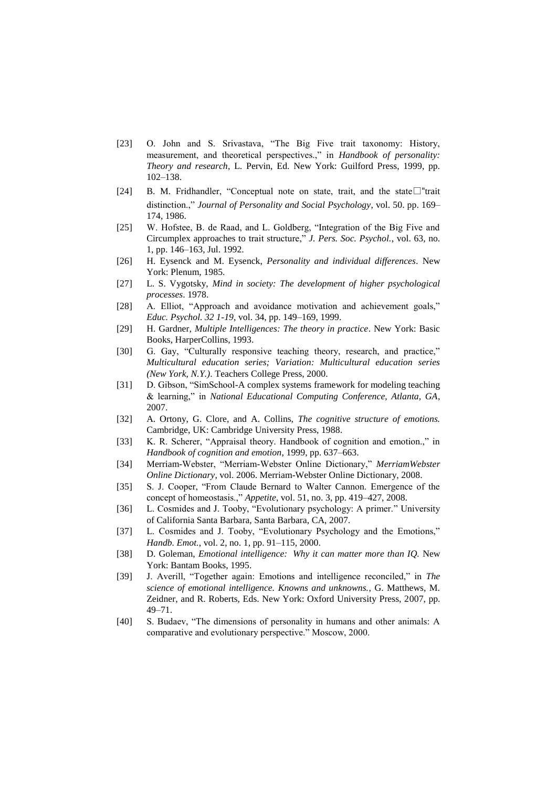- [23] O. John and S. Srivastava, "The Big Five trait taxonomy: History, measurement, and theoretical perspectives.," in *Handbook of personality: Theory and research*, L. Pervin, Ed. New York: Guilford Press, 1999, pp. 102–138.
- [24] B. M. Fridhandler, "Conceptual note on state, trait, and the state  $\Box$ "trait distinction.," *Journal of Personality and Social Psychology*, vol. 50. pp. 169– 174, 1986.
- [25] W. Hofstee, B. de Raad, and L. Goldberg, "Integration of the Big Five and Circumplex approaches to trait structure," *J. Pers. Soc. Psychol.*, vol. 63, no. 1, pp. 146–163, Jul. 1992.
- [26] H. Eysenck and M. Eysenck, *Personality and individual differences*. New York: Plenum, 1985.
- [27] L. S. Vygotsky, *Mind in society: The development of higher psychological processes*. 1978.
- [28] A. Elliot, "Approach and avoidance motivation and achievement goals," *Educ. Psychol. 32 1-19*, vol. 34, pp. 149–169, 1999.
- [29] H. Gardner, *Multiple Intelligences: The theory in practice*. New York: Basic Books, HarperCollins, 1993.
- [30] G. Gay, "Culturally responsive teaching theory, research, and practice," *Multicultural education series; Variation: Multicultural education series (New York, N.Y.)*. Teachers College Press, 2000.
- [31] D. Gibson, "SimSchool-A complex systems framework for modeling teaching & learning," in *National Educational Computing Conference, Atlanta, GA*, 2007.
- [32] A. Ortony, G. Clore, and A. Collins, *The cognitive structure of emotions.* Cambridge, UK: Cambridge University Press, 1988.
- [33] K. R. Scherer, "Appraisal theory. Handbook of cognition and emotion.," in *Handbook of cognition and emotion*, 1999, pp. 637–663.
- [34] Merriam-Webster, "Merriam-Webster Online Dictionary," *MerriamWebster Online Dictionary*, vol. 2006. Merriam-Webster Online Dictionary, 2008.
- [35] S. J. Cooper, "From Claude Bernard to Walter Cannon. Emergence of the concept of homeostasis.," *Appetite*, vol. 51, no. 3, pp. 419–427, 2008.
- [36] L. Cosmides and J. Tooby, "Evolutionary psychology: A primer." University of California Santa Barbara, Santa Barbara, CA, 2007.
- [37] L. Cosmides and J. Tooby, "Evolutionary Psychology and the Emotions," *Handb. Emot.*, vol. 2, no. 1, pp. 91–115, 2000.
- [38] D. Goleman, *Emotional intelligence: Why it can matter more than IQ.* New York: Bantam Books, 1995.
- [39] J. Averill, "Together again: Emotions and intelligence reconciled," in *The science of emotional intelligence. Knowns and unknowns.*, G. Matthews, M. Zeidner, and R. Roberts, Eds. New York: Oxford University Press, 2007, pp. 49–71.
- [40] S. Budaev, "The dimensions of personality in humans and other animals: A comparative and evolutionary perspective." Moscow, 2000.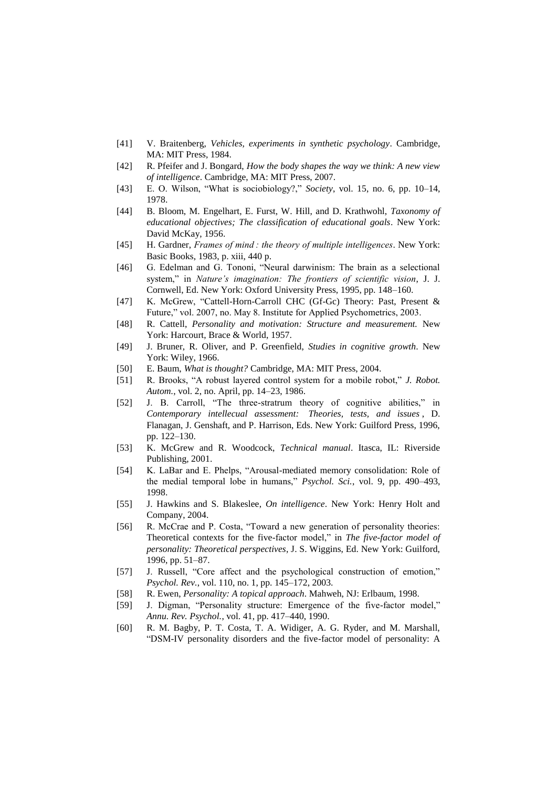- [41] V. Braitenberg, *Vehicles, experiments in synthetic psychology*. Cambridge, MA: MIT Press, 1984.
- [42] R. Pfeifer and J. Bongard, *How the body shapes the way we think: A new view of intelligence*. Cambridge, MA: MIT Press, 2007.
- [43] E. O. Wilson, "What is sociobiology?," *Society*, vol. 15, no. 6, pp. 10–14, 1978.
- [44] B. Bloom, M. Engelhart, E. Furst, W. Hill, and D. Krathwohl, *Taxonomy of educational objectives; The classification of educational goals*. New York: David McKay, 1956.
- [45] H. Gardner, *Frames of mind* : the theory of multiple intelligences. New York: Basic Books, 1983, p. xiii, 440 p.
- [46] G. Edelman and G. Tononi, "Neural darwinism: The brain as a selectional system," in *Nature's imagination: The frontiers of scientific vision*, J. J. Cornwell, Ed. New York: Oxford University Press, 1995, pp. 148–160.
- [47] K. McGrew, "Cattell-Horn-Carroll CHC (Gf-Gc) Theory: Past, Present & Future," vol. 2007, no. May 8. Institute for Applied Psychometrics, 2003.
- [48] R. Cattell, *Personality and motivation: Structure and measurement.* New York: Harcourt, Brace & World, 1957.
- [49] J. Bruner, R. Oliver, and P. Greenfield, *Studies in cognitive growth*. New York: Wiley, 1966.
- [50] E. Baum, *What is thought?* Cambridge, MA: MIT Press, 2004.
- [51] R. Brooks, "A robust layered control system for a mobile robot," *J. Robot. Autom.*, vol. 2, no. April, pp. 14–23, 1986.
- [52] J. B. Carroll, "The three-stratrum theory of cognitive abilities," in *Contemporary intellecual assessment: Theories, tests, and issues* , D. Flanagan, J. Genshaft, and P. Harrison, Eds. New York: Guilford Press, 1996, pp. 122–130.
- [53] K. McGrew and R. Woodcock, *Technical manual*. Itasca, IL: Riverside Publishing, 2001.
- [54] K. LaBar and E. Phelps, "Arousal-mediated memory consolidation: Role of the medial temporal lobe in humans," *Psychol. Sci.*, vol. 9, pp. 490–493, 1998.
- [55] J. Hawkins and S. Blakeslee, *On intelligence*. New York: Henry Holt and Company, 2004.
- [56] R. McCrae and P. Costa, "Toward a new generation of personality theories: Theoretical contexts for the five-factor model," in *The five-factor model of personality: Theoretical perspectives*, J. S. Wiggins, Ed. New York: Guilford, 1996, pp. 51–87.
- [57] J. Russell, "Core affect and the psychological construction of emotion," *Psychol. Rev.*, vol. 110, no. 1, pp. 145–172, 2003.
- [58] R. Ewen, *Personality: A topical approach*. Mahweh, NJ: Erlbaum, 1998.
- [59] J. Digman, "Personality structure: Emergence of the five-factor model," *Annu. Rev. Psychol.*, vol. 41, pp. 417–440, 1990.
- [60] R. M. Bagby, P. T. Costa, T. A. Widiger, A. G. Ryder, and M. Marshall, "DSM-IV personality disorders and the five-factor model of personality: A